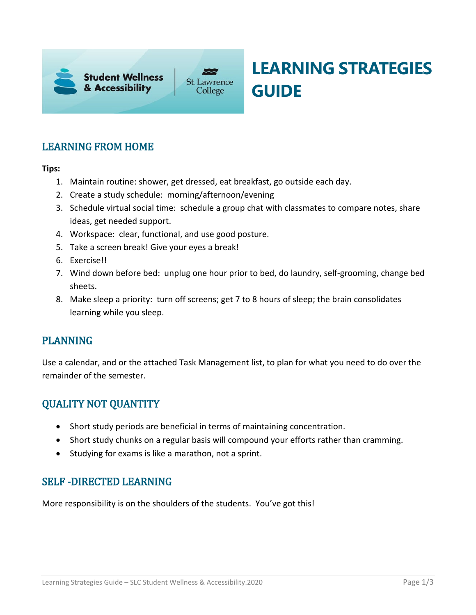

# **LEARNING STRATEGIES GUIDE**

### LEARNING FROM HOME

#### **Tips:**

- 1. Maintain routine: shower, get dressed, eat breakfast, go outside each day.
- 2. Create a study schedule: morning/afternoon/evening
- 3. Schedule virtual social time: schedule a group chat with classmates to compare notes, share ideas, get needed support.
- 4. Workspace: clear, functional, and use good posture.
- 5. Take a screen break! Give your eyes a break!
- 6. Exercise!!
- 7. Wind down before bed: unplug one hour prior to bed, do laundry, self-grooming, change bed sheets.
- 8. Make sleep a priority: turn off screens; get 7 to 8 hours of sleep; the brain consolidates learning while you sleep.

#### PLANNING

 Use a calendar, and or the attached Task Management list, to plan for what you need to do over the remainder of the semester.

#### QUALITY NOT QUANTITY

- Short study periods are beneficial in terms of maintaining concentration.
- Short study chunks on a regular basis will compound your efforts rather than cramming.
- Studying for exams is like a marathon, not a sprint.

#### SELF -DIRECTED LEARNING

More responsibility is on the shoulders of the students. You've got this!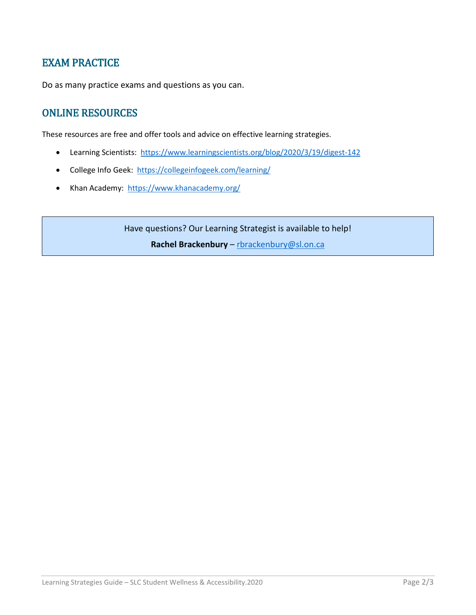#### EXAM PRACTICE

Do as many practice exams and questions as you can.

### ONLINE RESOURCES

These resources are free and offer tools and advice on effective learning strategies.

- Learning Scientists: https://www.learningscientists.org/blog/2020/3/19/digest-142
- College Info Geek: https://collegeinfogeek.com/learning/
- Khan Academy: https://www.khanacademy.org/

Have questions? Our Learning Strategist is available to help! **Rachel Brackenbury** – [rbrackenbury@sl.on.ca](mailto:rbrackenbury@sl.on.ca)